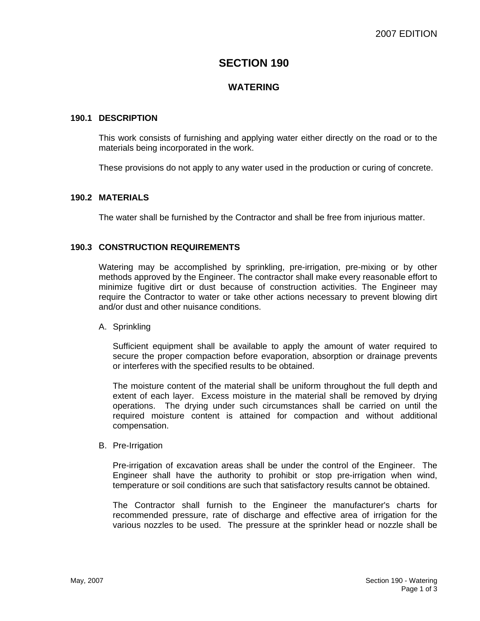# **SECTION 190**

# **WATERING**

# **190.1 DESCRIPTION**

This work consists of furnishing and applying water either directly on the road or to the materials being incorporated in the work.

These provisions do not apply to any water used in the production or curing of concrete.

## **190.2 MATERIALS**

The water shall be furnished by the Contractor and shall be free from injurious matter.

## **190.3 CONSTRUCTION REQUIREMENTS**

Watering may be accomplished by sprinkling, pre-irrigation, pre-mixing or by other methods approved by the Engineer. The contractor shall make every reasonable effort to minimize fugitive dirt or dust because of construction activities. The Engineer may require the Contractor to water or take other actions necessary to prevent blowing dirt and/or dust and other nuisance conditions.

#### A. Sprinkling

Sufficient equipment shall be available to apply the amount of water required to secure the proper compaction before evaporation, absorption or drainage prevents or interferes with the specified results to be obtained.

The moisture content of the material shall be uniform throughout the full depth and extent of each layer. Excess moisture in the material shall be removed by drying operations. The drying under such circumstances shall be carried on until the required moisture content is attained for compaction and without additional compensation.

#### B. Pre-Irrigation

Pre-irrigation of excavation areas shall be under the control of the Engineer. The Engineer shall have the authority to prohibit or stop pre-irrigation when wind, temperature or soil conditions are such that satisfactory results cannot be obtained.

The Contractor shall furnish to the Engineer the manufacturer's charts for recommended pressure, rate of discharge and effective area of irrigation for the various nozzles to be used. The pressure at the sprinkler head or nozzle shall be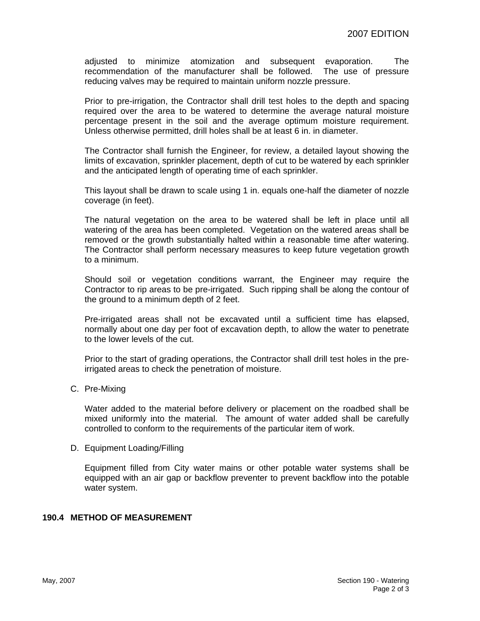adjusted to minimize atomization and subsequent evaporation. The recommendation of the manufacturer shall be followed. The use of pressure reducing valves may be required to maintain uniform nozzle pressure.

Prior to pre-irrigation, the Contractor shall drill test holes to the depth and spacing required over the area to be watered to determine the average natural moisture percentage present in the soil and the average optimum moisture requirement. Unless otherwise permitted, drill holes shall be at least 6 in. in diameter.

The Contractor shall furnish the Engineer, for review, a detailed layout showing the limits of excavation, sprinkler placement, depth of cut to be watered by each sprinkler and the anticipated length of operating time of each sprinkler.

This layout shall be drawn to scale using 1 in. equals one-half the diameter of nozzle coverage (in feet).

The natural vegetation on the area to be watered shall be left in place until all watering of the area has been completed. Vegetation on the watered areas shall be removed or the growth substantially halted within a reasonable time after watering. The Contractor shall perform necessary measures to keep future vegetation growth to a minimum.

Should soil or vegetation conditions warrant, the Engineer may require the Contractor to rip areas to be pre-irrigated. Such ripping shall be along the contour of the ground to a minimum depth of 2 feet.

Pre-irrigated areas shall not be excavated until a sufficient time has elapsed, normally about one day per foot of excavation depth, to allow the water to penetrate to the lower levels of the cut.

Prior to the start of grading operations, the Contractor shall drill test holes in the preirrigated areas to check the penetration of moisture.

C. Pre-Mixing

Water added to the material before delivery or placement on the roadbed shall be mixed uniformly into the material. The amount of water added shall be carefully controlled to conform to the requirements of the particular item of work.

#### D. Equipment Loading/Filling

Equipment filled from City water mains or other potable water systems shall be equipped with an air gap or backflow preventer to prevent backflow into the potable water system.

# **190.4 METHOD OF MEASUREMENT**